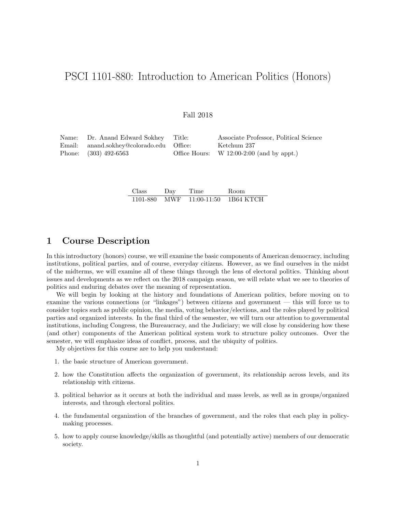# PSCI 1101-880: Introduction to American Politics (Honors)

#### Fall 2018

| Name: Dr. Anand Edward Sokhey Title:     | Associate Professor, Political Science      |
|------------------------------------------|---------------------------------------------|
| Email: anand.sokhey@colorado.edu Office: | Ketchum 237                                 |
| Phone: (303) 492-6563                    | Office Hours: W $12:00-2:00$ (and by appt.) |

| Class | Day | Time | Room                               |
|-------|-----|------|------------------------------------|
|       |     |      | 1101-880 MWF 11:00-11:50 1B64 KTCH |

# 1 Course Description

In this introductory (honors) course, we will examine the basic components of American democracy, including institutions, political parties, and of course, everyday citizens. However, as we find ourselves in the midst of the midterms, we will examine all of these things through the lens of electoral politics. Thinking about issues and developments as we reflect on the 2018 campaign season, we will relate what we see to theories of politics and enduring debates over the meaning of representation.

We will begin by looking at the history and foundations of American politics, before moving on to examine the various connections (or "linkages") between citizens and government — this will force us to consider topics such as public opinion, the media, voting behavior/elections, and the roles played by political parties and organized interests. In the final third of the semester, we will turn our attention to governmental institutions, including Congress, the Bureaucracy, and the Judiciary; we will close by considering how these (and other) components of the American political system work to structure policy outcomes. Over the semester, we will emphasize ideas of conflict, process, and the ubiquity of politics.

My objectives for this course are to help you understand:

- 1. the basic structure of American government.
- 2. how the Constitution affects the organization of government, its relationship across levels, and its relationship with citizens.
- 3. political behavior as it occurs at both the individual and mass levels, as well as in groups/organized interests, and through electoral politics.
- 4. the fundamental organization of the branches of government, and the roles that each play in policymaking processes.
- 5. how to apply course knowledge/skills as thoughtful (and potentially active) members of our democratic society.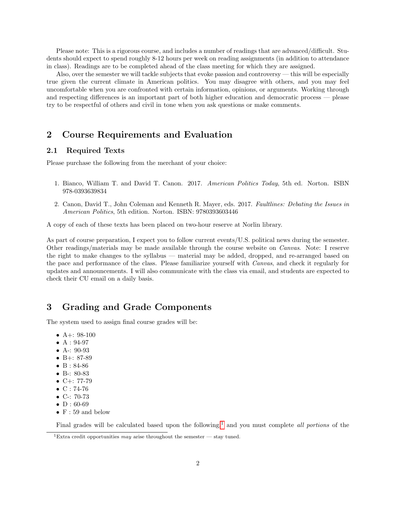Please note: This is a rigorous course, and includes a number of readings that are advanced/difficult. Students should expect to spend roughly 8-12 hours per week on reading assignments (in addition to attendance in class). Readings are to be completed ahead of the class meeting for which they are assigned.

Also, over the semester we will tackle subjects that evoke passion and controversy — this will be especially true given the current climate in American politics. You may disagree with others, and you may feel uncomfortable when you are confronted with certain information, opinions, or arguments. Working through and respecting differences is an important part of both higher education and democratic process — please try to be respectful of others and civil in tone when you ask questions or make comments.

# 2 Course Requirements and Evaluation

### 2.1 Required Texts

Please purchase the following from the merchant of your choice:

- 1. Bianco, William T. and David T. Canon. 2017. American Politics Today, 5th ed. Norton. ISBN 978-0393639834
- 2. Canon, David T., John Coleman and Kenneth R. Mayer, eds. 2017. Faultlines: Debating the Issues in American Politics, 5th edition. Norton. ISBN: 9780393603446

A copy of each of these texts has been placed on two-hour reserve at Norlin library.

As part of course preparation, I expect you to follow current events/U.S. political news during the semester. Other readings/materials may be made available through the course website on Canvas. Note: I reserve the right to make changes to the syllabus — material may be added, dropped, and re-arranged based on the pace and performance of the class. Please familiarize yourself with Canvas, and check it regularly for updates and announcements. I will also communicate with the class via email, and students are expected to check their CU email on a daily basis.

# 3 Grading and Grade Components

The system used to assign final course grades will be:

- A+:  $98-100$
- $A: 94-97$
- A-: 90-93
- B+: 87-89
- B: 84-86
- B-: 80-83
- $C+: 77-79$
- $C: 74-76$
- C-: 70-73
- $\bullet$  D : 60-69
- $F: 59$  and below

Final grades will be calculated based upon the following,<sup>[1](#page-1-0)</sup> and you must complete all portions of the

<span id="page-1-0"></span><sup>&</sup>lt;sup>1</sup>Extra credit opportunities may arise throughout the semester — stay tuned.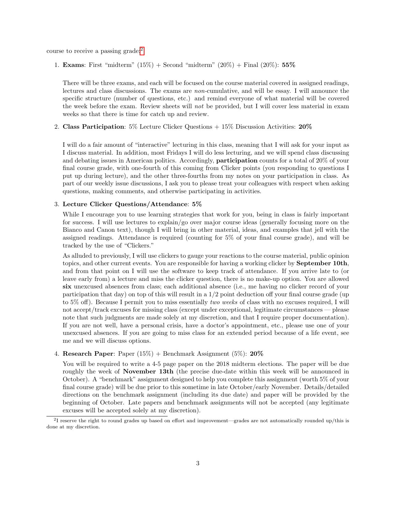course to receive a passing grade:[2](#page-2-0)

1. **Exams**: First "midterm"  $(15\%)$  + Second "midterm"  $(20\%)$  + Final  $(20\%)$ : 55%

There will be three exams, and each will be focused on the course material covered in assigned readings, lectures and class discussions. The exams are non-cumulative, and will be essay. I will announce the specific structure (number of questions, etc.) and remind everyone of what material will be covered the week before the exam. Review sheets will not be provided, but I will cover less material in exam weeks so that there is time for catch up and review.

2. Class Participation: 5% Lecture Clicker Questions + 15% Discussion Activities: 20%

I will do a fair amount of "interactive" lecturing in this class, meaning that I will ask for your input as I discuss material. In addition, most Fridays I will do less lecturing, and we will spend class discussing and debating issues in American politics. Accordingly, participation counts for a total of 20% of your final course grade, with one-fourth of this coming from Clicker points (you responding to questions I put up during lecture), and the other three-fourths from my notes on your participation in class. As part of our weekly issue discussions, I ask you to please treat your colleagues with respect when asking questions, making comments, and otherwise participating in activities.

#### 3. Lecture Clicker Questions/Attendance: 5%

While I encourage you to use learning strategies that work for you, being in class is fairly important for success. I will use lectures to explain/go over major course ideas (generally focusing more on the Bianco and Canon text), though I will bring in other material, ideas, and examples that jell with the assigned readings. Attendance is required (counting for 5% of your final course grade), and will be tracked by the use of "Clickers."

As alluded to previously, I will use clickers to gauge your reactions to the course material, public opinion topics, and other current events. You are responsible for having a working clicker by September 10th, and from that point on I will use the software to keep track of attendance. If you arrive late to (or leave early from) a lecture and miss the clicker question, there is no make-up option. You are allowed six unexcused absences from class; each additional absence (i.e., me having no clicker record of your participation that day) on top of this will result in a  $1/2$  point deduction off your final course grade (up to 5% off). Because I permit you to miss essentially two weeks of class with no excuses required, I will not accept/track excuses for missing class (except under exceptional, legitimate circumstances — please note that such judgments are made solely at my discretion, and that I require proper documentation). If you are not well, have a personal crisis, have a doctor's appointment, etc., please use one of your unexcused absences. If you are going to miss class for an extended period because of a life event, see me and we will discuss options.

4. Research Paper: Paper  $(15\%)$  + Benchmark Assignment  $(5\%)$ : 20%

You will be required to write a 4-5 page paper on the 2018 midterm elections. The paper will be due roughly the week of **November 13th** (the precise due-date within this week will be announced in October). A "benchmark" assignment designed to help you complete this assignment (worth 5% of your final course grade) will be due prior to this sometime in late October/early November. Details/detailed directions on the benchmark assignment (including its due date) and paper will be provided by the beginning of October. Late papers and benchmark assignments will not be accepted (any legitimate excuses will be accepted solely at my discretion).

<span id="page-2-0"></span> $2<sup>1</sup>$  reserve the right to round grades up based on effort and improvement—grades are not automatically rounded up/this is done at my discretion.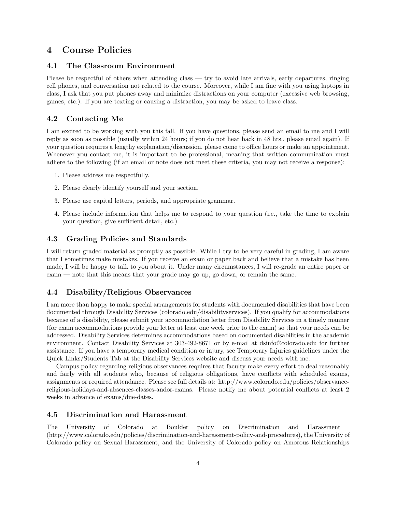# 4 Course Policies

### 4.1 The Classroom Environment

Please be respectful of others when attending class — try to avoid late arrivals, early departures, ringing cell phones, and conversation not related to the course. Moreover, while I am fine with you using laptops in class, I ask that you put phones away and minimize distractions on your computer (excessive web browsing, games, etc.). If you are texting or causing a distraction, you may be asked to leave class.

### 4.2 Contacting Me

I am excited to be working with you this fall. If you have questions, please send an email to me and I will reply as soon as possible (usually within 24 hours; if you do not hear back in 48 hrs., please email again). If your question requires a lengthy explanation/discussion, please come to office hours or make an appointment. Whenever you contact me, it is important to be professional, meaning that written communication must adhere to the following (if an email or note does not meet these criteria, you may not receive a response):

- 1. Please address me respectfully.
- 2. Please clearly identify yourself and your section.
- 3. Please use capital letters, periods, and appropriate grammar.
- 4. Please include information that helps me to respond to your question (i.e., take the time to explain your question, give sufficient detail, etc.)

#### 4.3 Grading Policies and Standards

I will return graded material as promptly as possible. While I try to be very careful in grading, I am aware that I sometimes make mistakes. If you receive an exam or paper back and believe that a mistake has been made, I will be happy to talk to you about it. Under many circumstances, I will re-grade an entire paper or exam — note that this means that your grade may go up, go down, or remain the same.

#### 4.4 Disability/Religious Observances

I am more than happy to make special arrangements for students with documented disabilities that have been documented through Disability Services (colorado.edu/disabilityservices). If you qualify for accommodations because of a disability, please submit your accommodation letter from Disability Services in a timely manner (for exam accommodations provide your letter at least one week prior to the exam) so that your needs can be addressed. Disability Services determines accommodations based on documented disabilities in the academic environment. Contact Disability Services at 303-492-8671 or by e-mail at dsinfo@colorado.edu for further assistance. If you have a temporary medical condition or injury, see Temporary Injuries guidelines under the Quick Links/Students Tab at the Disability Services website and discuss your needs with me.

Campus policy regarding religious observances requires that faculty make every effort to deal reasonably and fairly with all students who, because of religious obligations, have conflicts with scheduled exams, assignments or required attendance. Please see full details at: http://www.colorado.edu/policies/observancereligious-holidays-and-absences-classes-andor-exams. Please notify me about potential conflicts at least 2 weeks in advance of exams/due-dates.

#### 4.5 Discrimination and Harassment

The University of Colorado at Boulder policy on Discrimination and Harassment (http://www.colorado.edu/policies/discrimination-and-harassment-policy-and-procedures), the University of Colorado policy on Sexual Harassment, and the University of Colorado policy on Amorous Relationships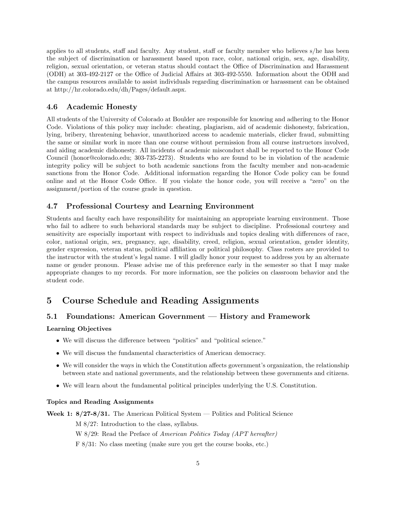applies to all students, staff and faculty. Any student, staff or faculty member who believes s/he has been the subject of discrimination or harassment based upon race, color, national origin, sex, age, disability, religion, sexual orientation, or veteran status should contact the Office of Discrimination and Harassment (ODH) at 303-492-2127 or the Office of Judicial Affairs at 303-492-5550. Information about the ODH and the campus resources available to assist individuals regarding discrimination or harassment can be obtained at http://hr.colorado.edu/dh/Pages/default.aspx.

### 4.6 Academic Honesty

All students of the University of Colorado at Boulder are responsible for knowing and adhering to the Honor Code. Violations of this policy may include: cheating, plagiarism, aid of academic dishonesty, fabrication, lying, bribery, threatening behavior, unauthorized access to academic materials, clicker fraud, submitting the same or similar work in more than one course without permission from all course instructors involved, and aiding academic dishonesty. All incidents of academic misconduct shall be reported to the Honor Code Council (honor@colorado.edu; 303-735-2273). Students who are found to be in violation of the academic integrity policy will be subject to both academic sanctions from the faculty member and non-academic sanctions from the Honor Code. Additional information regarding the Honor Code policy can be found online and at the Honor Code Office. If you violate the honor code, you will receive a "zero" on the assignment/portion of the course grade in question.

### 4.7 Professional Courtesy and Learning Environment

Students and faculty each have responsibility for maintaining an appropriate learning environment. Those who fail to adhere to such behavioral standards may be subject to discipline. Professional courtesy and sensitivity are especially important with respect to individuals and topics dealing with differences of race, color, national origin, sex, pregnancy, age, disability, creed, religion, sexual orientation, gender identity, gender expression, veteran status, political affiliation or political philosophy. Class rosters are provided to the instructor with the student's legal name. I will gladly honor your request to address you by an alternate name or gender pronoun. Please advise me of this preference early in the semester so that I may make appropriate changes to my records. For more information, see the policies on classroom behavior and the student code.

# 5 Course Schedule and Reading Assignments

### 5.1 Foundations: American Government — History and Framework

#### Learning Objectives

- We will discuss the difference between "politics" and "political science."
- We will discuss the fundamental characteristics of American democracy.
- We will consider the ways in which the Constitution affects government's organization, the relationship between state and national governments, and the relationship between these governments and citizens.
- We will learn about the fundamental political principles underlying the U.S. Constitution.

#### Topics and Reading Assignments

Week 1: 8/27-8/31. The American Political System — Politics and Political Science

M 8/27: Introduction to the class, syllabus.

W 8/29: Read the Preface of American Politics Today (APT hereafter)

F 8/31: No class meeting (make sure you get the course books, etc.)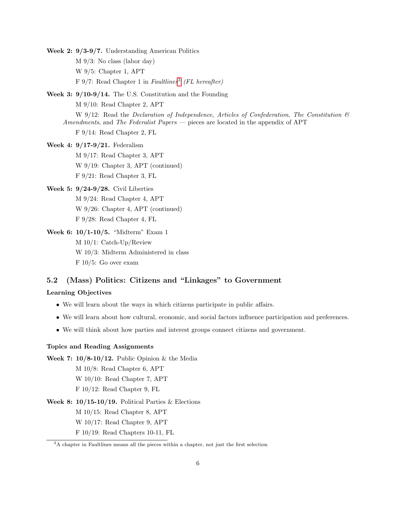- Week 2: 9/3-9/7. Understanding American Politics M 9/3: No class (labor day) W 9/5: Chapter 1, APT  $F\ 9/7$ : Read Chapter 1 in Faultlines<sup>[3](#page-5-0)</sup> (FL hereafter)
- Week 3: 9/10-9/14. The U.S. Constitution and the Founding M 9/10: Read Chapter 2, APT W 9/12: Read the Declaration of Independence, Articles of Confederation, The Constitution  $\mathcal{B}$ 
	- Amendments, and The Federalist Papers pieces are located in the appendix of APT

F 9/14: Read Chapter 2, FL

- Week 4: 9/17-9/21. Federalism M 9/17: Read Chapter 3, APT W 9/19: Chapter 3, APT (continued) F 9/21: Read Chapter 3, FL
- Week 5: 9/24-9/28. Civil Liberties M 9/24: Read Chapter 4, APT W 9/26: Chapter 4, APT (continued) F 9/28: Read Chapter 4, FL
- Week 6: 10/1-10/5. "Midterm" Exam 1 M 10/1: Catch-Up/Review W 10/3: Midterm Administered in class F 10/5: Go over exam

# 5.2 (Mass) Politics: Citizens and "Linkages" to Government

## Learning Objectives

- We will learn about the ways in which citizens participate in public affairs.
- We will learn about how cultural, economic, and social factors influence participation and preferences.
- We will think about how parties and interest groups connect citizens and government.

#### Topics and Reading Assignments

- Week 7:  $10/8-10/12$ . Public Opinion & the Media
	- M 10/8: Read Chapter 6, APT
	- W 10/10: Read Chapter 7, APT
	- F 10/12: Read Chapter 9, FL
- Week 8:  $10/15-10/19$ . Political Parties & Elections
	- M 10/15: Read Chapter 8, APT
	- W 10/17: Read Chapter 9, APT
	- F 10/19: Read Chapters 10-11, FL

<span id="page-5-0"></span><sup>3</sup>A chapter in Faultlines means all the pieces within a chapter, not just the first selection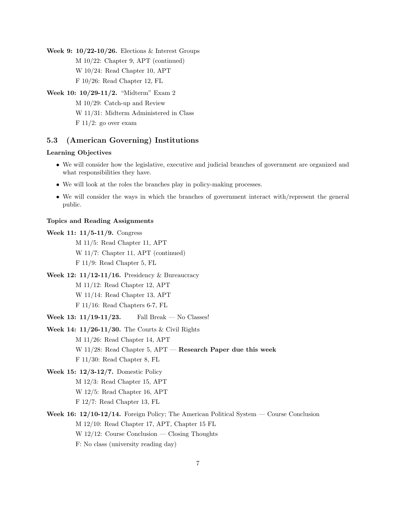Week 9:  $10/22-10/26$ . Elections & Interest Groups M 10/22: Chapter 9, APT (continued) W 10/24: Read Chapter 10, APT F 10/26: Read Chapter 12, FL

Week 10: 10/29-11/2. "Midterm" Exam 2

M 10/29: Catch-up and Review W 11/31: Midterm Administered in Class  $F 11/2$ : go over exam

### 5.3 (American Governing) Institutions

### Learning Objectives

- We will consider how the legislative, executive and judicial branches of government are organized and what responsibilities they have.
- We will look at the roles the branches play in policy-making processes.
- We will consider the ways in which the branches of government interact with/represent the general public.

#### Topics and Reading Assignments

- Week 11: 11/5-11/9. Congress M 11/5: Read Chapter 11, APT W 11/7: Chapter 11, APT (continued) F 11/9: Read Chapter 5, FL Week 12: 11/12-11/16. Presidency & Bureaucracy
	- M 11/12: Read Chapter 12, APT W 11/14: Read Chapter 13, APT F 11/16: Read Chapters 6-7, FL
- Week 13: 11/19-11/23. Fall Break No Classes!
- Week 14: 11/26-11/30. The Courts & Civil Rights

M 11/26: Read Chapter 14, APT

W 11/28: Read Chapter 5, APT — Research Paper due this week

- F 11/30: Read Chapter 8, FL
- Week 15: 12/3-12/7. Domestic Policy M 12/3: Read Chapter 15, APT W 12/5: Read Chapter 16, APT F 12/7: Read Chapter 13, FL
- Week 16: 12/10-12/14. Foreign Policy; The American Political System Course Conclusion M 12/10: Read Chapter 17, APT, Chapter 15 FL W 12/12: Course Conclusion — Closing Thoughts F: No class (university reading day)